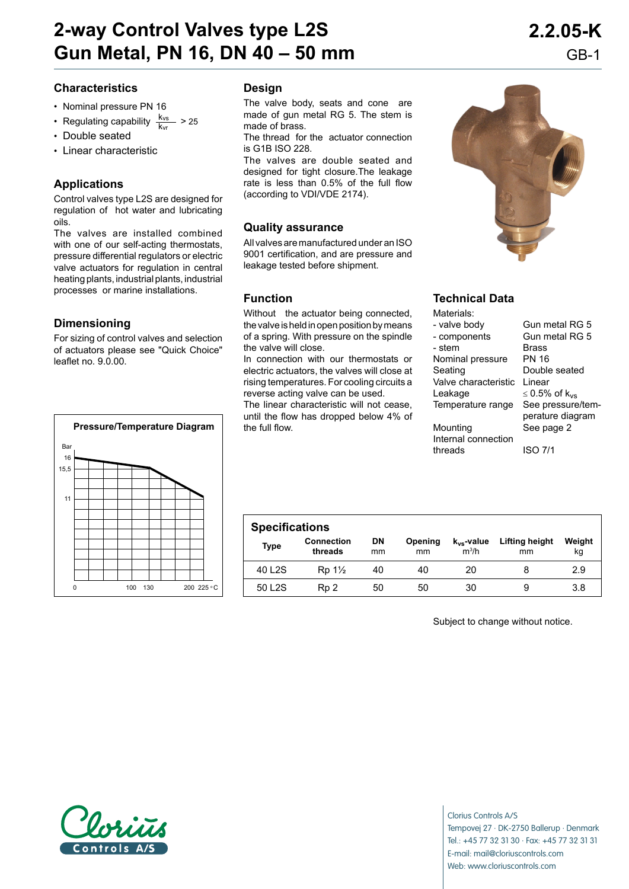# **2-way Control Valves type L2S 2.2.05-K Gun Metal, PN 16, DN 40 – 50 mm** GB-1

## **Characteristics**

- • Nominal pressure PN 16
- Regulating capability  $\frac{k_{vs}}{k_{vr}}$  > 25
- • Double seated
- • Linear characteristic

# **Applications**

Control valves type L2S are designed for regulation of hot water and lubricating oils.

The valves are installed combined with one of our self-acting thermostats, pressure differential regulators or electric valve actuators for regulation in central heating plants, industrial plants, industrial processes or marine installations.

## **Dimensioning**

For sizing of control valves and selection of actuators please see "Quick Choice" leaflet no. 9.0.00.



### **Design**

The valve body, seats and cone are made of gun metal RG 5. The stem is made of brass.

The thread for the actuator connection is G1B ISO 228.

The valves are double seated and designed for tight closure.The leakage rate is less than 0.5% of the full flow (according to VDI/VDE 2174).

### **Quality assurance**

All valves are manufactured under an ISO 9001 certification, and are pressure and leakage tested before shipment.

### **Function**

Without the actuator being connected, the valve is held in open position by means of a spring. With pressure on the spindle the valve will close.

In connection with our thermostats or electric actuators, the valves will close at rising temperatures. For cooling circuits a reverse acting valve can be used.

The linear characteristic will not cease, until the flow has dropped below 4% of

# **Technical Data**

| Materials:           |                           |
|----------------------|---------------------------|
| - valve body         | Gun metal RG 5            |
| - components         | Gun metal RG 5            |
| - stem               | Brass                     |
| Nominal pressure     | PN 16                     |
| Seating              | Double seated             |
| Valve characteristic | I inear                   |
| Leakage              | ≤ 0.5% of k <sub>vs</sub> |
| Temperature range    | See pressure/tem-         |
|                      | perature diagram          |
| Mounting             | See page 2                |
| Internal connection  |                           |
| threads              | ISO 7/1                   |

| <b>Specifications</b> |                              |                 |               |                            |                      |              |
|-----------------------|------------------------------|-----------------|---------------|----------------------------|----------------------|--------------|
| Type                  | <b>Connection</b><br>threads | <b>DN</b><br>mm | Opening<br>mm | $k_{vs}$ -value<br>$m^3/h$ | Lifting height<br>mm | Weight<br>kg |
| 40 L <sub>2</sub> S   | $Rp 1\frac{1}{2}$            | 40              | 40            | 20                         |                      | 2.9          |
| 50 L <sub>2</sub> S   | R <sub>p</sub> 2             | 50              | 50            | 30                         |                      | 3.8          |

Subject to change without notice.



Clorius Controls A/S Tempovej 27 · DK-2750 Ballerup · Denmark Tel.: +45 77 32 31 30 · Fax: +45 77 32 31 31 E-mail: mail@cloriuscontrols.com Web: www.cloriuscontrols.com